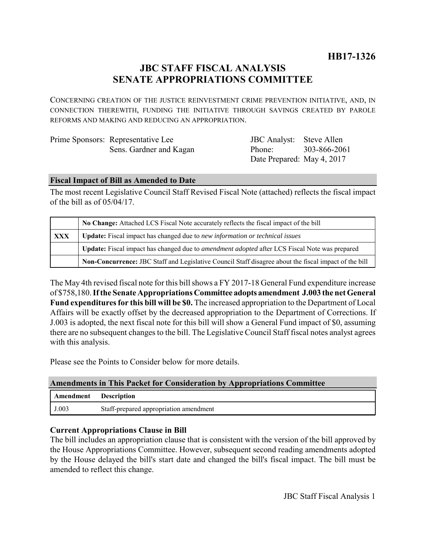# **JBC STAFF FISCAL ANALYSIS SENATE APPROPRIATIONS COMMITTEE**

CONCERNING CREATION OF THE JUSTICE REINVESTMENT CRIME PREVENTION INITIATIVE, AND, IN CONNECTION THEREWITH, FUNDING THE INITIATIVE THROUGH SAVINGS CREATED BY PAROLE REFORMS AND MAKING AND REDUCING AN APPROPRIATION.

| Prime Sponsors: Representative Lee |  |
|------------------------------------|--|
| Sens. Gardner and Kagan            |  |

JBC Analyst: Steve Allen Phone: Date Prepared: May 4, 2017 303-866-2061

### **Fiscal Impact of Bill as Amended to Date**

The most recent Legislative Council Staff Revised Fiscal Note (attached) reflects the fiscal impact of the bill as of  $05/04/17$ .

|     | No Change: Attached LCS Fiscal Note accurately reflects the fiscal impact of the bill                       |  |
|-----|-------------------------------------------------------------------------------------------------------------|--|
| XXX | <b>Update:</b> Fiscal impact has changed due to new information or technical issues                         |  |
|     | <b>Update:</b> Fiscal impact has changed due to <i>amendment adopted</i> after LCS Fiscal Note was prepared |  |
|     | Non-Concurrence: JBC Staff and Legislative Council Staff disagree about the fiscal impact of the bill       |  |

The May 4th revised fiscal note for this bill shows a FY 2017-18 General Fund expenditure increase of \$758,180. **If the Senate Appropriations Committee adopts amendment J.003 the net General Fund expenditures for this bill will be \$0.** The increased appropriation to the Department of Local Affairs will be exactly offset by the decreased appropriation to the Department of Corrections. If J.003 is adopted, the next fiscal note for this bill will show a General Fund impact of \$0, assuming there are no subsequent changes to the bill. The Legislative Council Staff fiscal notes analyst agrees with this analysis.

Please see the Points to Consider below for more details.

#### **Amendments in This Packet for Consideration by Appropriations Committee**

| Amendment | <b>Description</b>                     |  |
|-----------|----------------------------------------|--|
| J.003     | Staff-prepared appropriation amendment |  |

## **Current Appropriations Clause in Bill**

The bill includes an appropriation clause that is consistent with the version of the bill approved by the House Appropriations Committee. However, subsequent second reading amendments adopted by the House delayed the bill's start date and changed the bill's fiscal impact. The bill must be amended to reflect this change.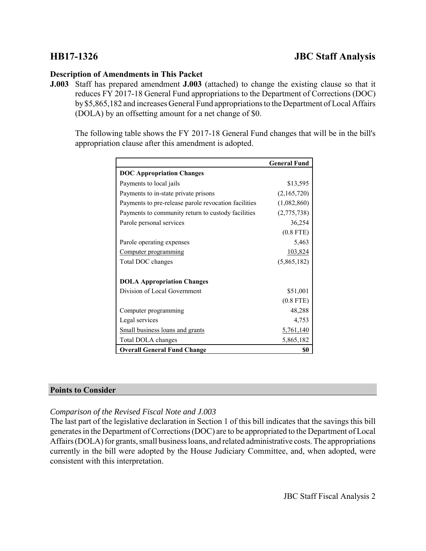# **HB17-1326 JBC Staff Analysis**

### **Description of Amendments in This Packet**

**J.003** Staff has prepared amendment **J.003** (attached) to change the existing clause so that it reduces FY 2017-18 General Fund appropriations to the Department of Corrections (DOC) by \$5,865,182 and increases General Fund appropriations to the Department of Local Affairs (DOLA) by an offsetting amount for a net change of \$0.

The following table shows the FY 2017-18 General Fund changes that will be in the bill's appropriation clause after this amendment is adopted.

|                                                      | <b>General Fund</b> |
|------------------------------------------------------|---------------------|
| <b>DOC Appropriation Changes</b>                     |                     |
| Payments to local jails                              | \$13,595            |
| Payments to in-state private prisons                 | (2,165,720)         |
| Payments to pre-release parole revocation facilities | (1,082,860)         |
| Payments to community return to custody facilities   | (2,775,738)         |
| Parole personal services                             | 36,254              |
|                                                      | $(0.8$ FTE)         |
| Parole operating expenses                            | 5,463               |
| Computer programming                                 | 103,824             |
| Total DOC changes                                    | (5,865,182)         |
| <b>DOLA Appropriation Changes</b>                    |                     |
| Division of Local Government                         | \$51,001            |
|                                                      | $(0.8$ FTE)         |
| Computer programming                                 | 48,288              |
| Legal services                                       | 4,753               |
| Small business loans and grants                      | 5,761,140           |
| Total DOLA changes                                   | 5,865,182           |
| <b>Overall General Fund Change</b>                   | S0                  |

#### **Points to Consider**

## *Comparison of the Revised Fiscal Note and J.003*

The last part of the legislative declaration in Section 1 of this bill indicates that the savings this bill generates in the Department of Corrections (DOC) are to be appropriated to the Department of Local Affairs (DOLA) for grants, small business loans, and related administrative costs. The appropriations currently in the bill were adopted by the House Judiciary Committee, and, when adopted, were consistent with this interpretation.